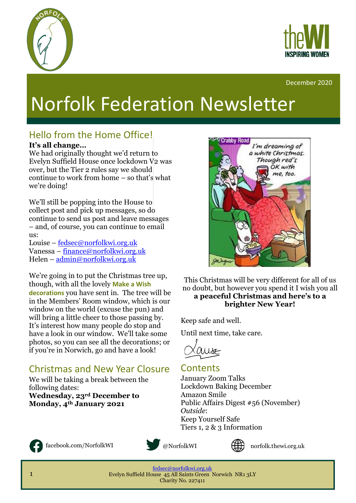



#### December 2020

# Norfolk Federation Newsletter

#### Hello from the Home Office!

#### **It's all change…**

We had originally thought we'd return to Evelyn Suffield House once lockdown V2 was over, but the Tier 2 rules say we should continue to work from home – so that's what we're doing!

We'll still be popping into the House to collect post and pick up messages, so do continue to send us post and leave messages – and, of course, you can continue to email us:

Louise – [fedsec@norfolkwi.org.uk](mailto:fedsec@norfolkwi.org.uk) Vanessa – [finance@norfolkwi.org.uk](mailto:finance@norfolkwi.org.uk) Helen – [admin@norfolkwi.org.uk](mailto:admin@norfolkwi.org.uk)

We're going in to put the Christmas tree up, though, with all the lovely **Make a Wish decorations** you have sent in. The tree will be in the Members' Room window, which is our window on the world (excuse the pun) and will bring a little cheer to those passing by. It's interest how many people do stop and have a look in our window. We'll take some photos, so you can see all the decorations; or if you're in Norwich, go and have a look!

#### Christmas and New Year Closure

We will be taking a break between the following dates: **Wednesday, 23rd December to Monday, 4th January 2021**



facebook.com/NorfolkWI @NorfolkWI





norfolk.thewi.org.uk

[fedsec@norfolkwi.org.uk](mailto:fedsec@norfolkwi.org.uk)  Evelyn Suffield House 45 All Saints Green Norwich NR1 3LY Charity No. 227411



This Christmas will be very different for all of us no doubt, but however you spend it I wish you all **a peaceful Christmas and here's to a brighter New Year!**

Keep safe and well.

Until next time, take care.

#### **Contents**

January Zoom Talks Lockdown Baking December Amazon Smile Public Affairs Digest #56 (November) *Outside*: Keep Yourself Safe Tiers 1, 2 & 3 Information